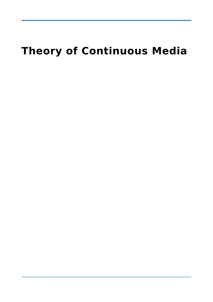# **Theory of Continuous Media**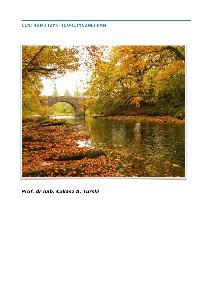### **CENTRUM FIZYKI TEORETYCZNEJ PAN**



**Prof. dr hab, Łukasz A. Turski**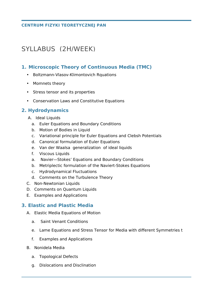#### **CENTRUM FIZYKI TEORETYCZNEJ PAN**

## SYLLABUS (2H/WEEK)

#### **1. Microscopic Theory of Continuous Media (TMC)**

- Boltzmann-Vlasov-Klimontovich Rquations
- Momnets theory
- Stress tensor and its properties
- Conservation Laws and Constitutive Equations

### **2. Hydrodynamics**

- A. Ideal Liquids
	- a. Euler Equations and Boundary Conditions
	- b. Motion of Bodies in Liquid
	- c. Variational principle for Euler Equations and Clebsh Potentials
	- d. Canonical formulation of Euler Equations
	- e. Van der Waalsa generalization of ideal liquids
	- f. Viscous Liquids
	- a. Navier—Stokes' Equations and Boundary Conditions
	- b. Metriplectic formulation of the Naviert-Stokes Equations
	- c. Hydrodynamical Fluctuations
	- d. Comments on the Turbulence Theory
- C. Non-Newtonian Liquids
- D. Comments on Quantum Liquids
- E. Examples and Applications

#### **3. Elastic and Plastic Media**

- A. Elastic Media Equations of Motion
	- a. Saint Venant Conditions
	- e. Lame Equations and Stress Tensor for Media with different Symmetries t
	- f. Examples and Applications
- B. Nonidela Media
	- a. Topological Defects
	- g. Dislocations and Disclination